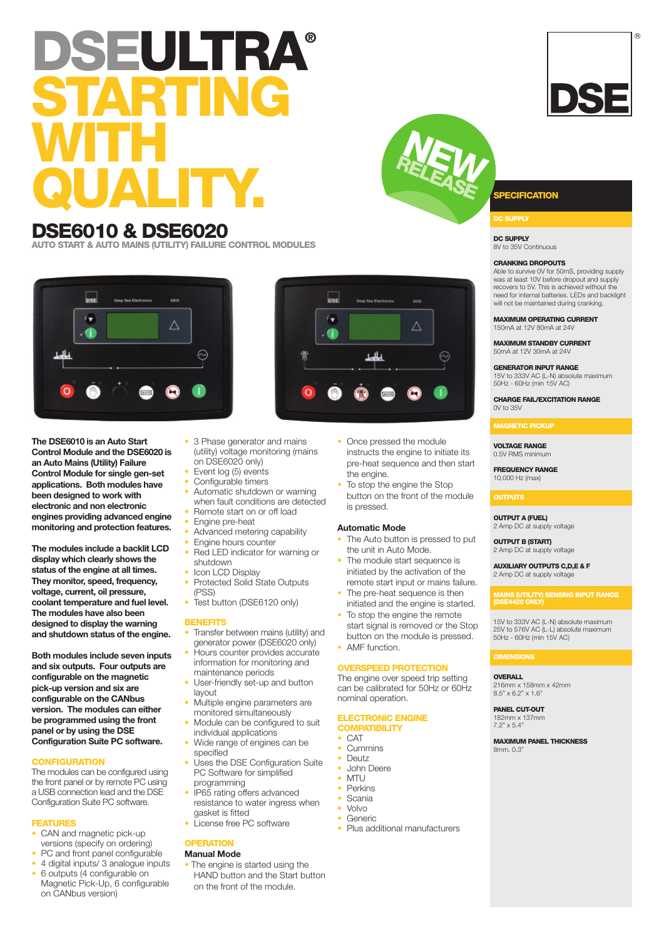# **DSEULTRA® STARTING WITH QUALITY. SPECIFICATION**

# **DSE6010 & DSE6020**

**AUTO START & AUTO MAINS (UTILITY) FAILURE CONTROL MODULES**



**The DSE6010 is an Auto Start Control Module and the DSE6020 is an Auto Mains (Utility) Failure Control Module for single gen-set applications. Both modules have been designed to work with electronic and non electronic engines providing advanced engine monitoring and protection features.**

**The modules include a backlit LCD display which clearly shows the status of the engine at all times. They monitor, speed, frequency, voltage, current, oil pressure, coolant temperature and fuel level. The modules have also been designed to display the warning and shutdown status of the engine.**

**Both modules include seven inputs and six outputs. Four outputs are configurable on the magnetic pick-up version and six are configurable on the CANbus version. The modules can either be programmed using the front panel or by using the DSE Configuration Suite PC software.**

### **CONFIGURATION**

The modules can be configured using the front panel or by remote PC using a USB connection lead and the DSE Configuration Suite PC software.

#### **FEATURES**

- CAN and magnetic pick-up versions (specify on ordering)
- PC and front panel configurable
- 4 digital inputs/ 3 analogue inputs
- 6 outputs (4 configurable on Magnetic Pick-Up, 6 configurable on CANbus version)
- 3 Phase generator and mains (utility) voltage monitoring (mains on DSE6020 only)
- Event log (5) events
- Configurable timers
- Automatic shutdown or warning when fault conditions are detected Remote start on or off load
- Engine pre-heat
- Advanced metering capability
- Engine hours counter
- Red LED indicator for warning or
- shutdown
- Icon LCD Display
- Protected Solid State Outputs (PSS)
- Test button (DSE6120 only)

#### **BENEFITS**

- Transfer between mains (utility) and generator power (DSE6020 only)
- Hours counter provides accurate information for monitoring and
- maintenance periods User-friendly set-up and button
- layout • Multiple engine parameters are
- monitored simultaneously • Module can be configured to suit
- individual applications Wide range of engines can be specified
- Uses the DSE Configuration Suite PC Software for simplified
- programming • IP65 rating offers advanced resistance to water ingress when gasket is fitted
- License free PC software
- 

#### **OPERATION Manual Mode**

- 
- The engine is started using the HAND button and the Start button on the front of the module.
- Once pressed the module instructs the engine to initiate its pre-heat sequence and then start the engine.
- To stop the engine the Stop button on the front of the module is pressed.

#### **Automatic Mode**

- The Auto button is pressed to put the unit in Auto Mode.
- The module start sequence is initiated by the activation of the remote start input or mains failure.
- The pre-heat sequence is then initiated and the engine is started.
- To stop the engine the remote start signal is removed or the Stop button on the module is pressed.
- AMF function.

#### **OVERSPEED PROTECTION**

The engine over speed trip setting can be calibrated for 50Hz or 60Hz nominal operation.

#### **ELECTRONIC ENGINE COMPATIBILITY**

- CAT
- **Cummins** • Deutz
- John Deere
- MTU
- **Perkins**
- Scania<br>• Volvo
- Volvo
- Generic
- Plus additional manufacturers

**DC SUPPLY**

**DC SUPPLY** 8V to 35V Continuous

#### **CRANKING DROPOUTS**

Able to survive 0V for 50mS, providing supply was at least 10V before dropout and supply recovers to 5V. This is achieved without the need for internal batteries. LEDs and backlight will not be maintained during cranking

**MAXIMUM OPERATING CURRENT** 150mA at 12V 80mA at 24V

**MAXIMUM STANDBY CURRENT** 50mA at 12V 30mA at 24V

**GENERATOR INPUT RANGE** 15V to 333V AC (L-N) absolute maximum 50Hz - 60Hz (min 15V AC)

**CHARGE FAIL/EXCITATION RANGE** 0V to 35V

**MAGNETIC PICKUP**

#### **VOLTAGE RANGE**

0.5V RMS minimum

**FREQUENCY RANGE** 10,000 Hz (max)

#### **OUTPUTS**

**OUTPUT A (FUEL)** 2 Amp DC at supply voltage

**OUTPUT B (START)** 2 Amp DC at supply voltage

**AUXILIARY OUTPUTS C,D,E & F** 2 Amp DC at supply voltage

## **(DSE4420 ONLY)**

15V to 333V AC (L-N) absolute maximum 25V to 576V AC (L-L) absolute maximum 50Hz - 60Hz (min 15V AC)

**OVERALL** 216mm x 158mm x 42mm 8.5" x 6.2" x 1.6"

**PANEL CUT-OUT** 182mm x 137mm 7.2" x 5.4"

**MAXIMUM PANEL THICKNESS** 8mm. 0.3"



**R NEL**

**EEA**





®